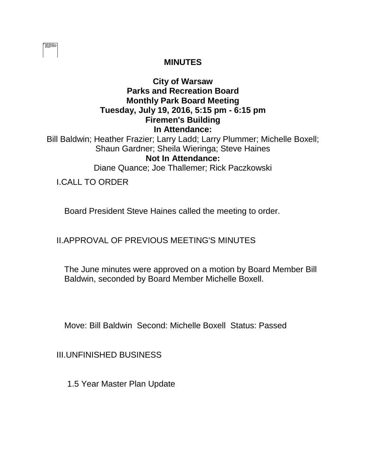

### **MINUTES**

# **City of Warsaw Parks and Recreation Board Monthly Park Board Meeting Tuesday, July 19, 2016, 5:15 pm - 6:15 pm Firemen's Building In Attendance:**

Bill Baldwin; Heather Frazier; Larry Ladd; Larry Plummer; Michelle Boxell; Shaun Gardner; Sheila Wieringa; Steve Haines **Not In Attendance:** 

Diane Quance; Joe Thallemer; Rick Paczkowski

I.CALL TO ORDER

Board President Steve Haines called the meeting to order.

II.APPROVAL OF PREVIOUS MEETING'S MINUTES

The June minutes were approved on a motion by Board Member Bill Baldwin, seconded by Board Member Michelle Boxell.

Move: Bill Baldwin Second: Michelle Boxell Status: Passed

III.UNFINISHED BUSINESS

1.5 Year Master Plan Update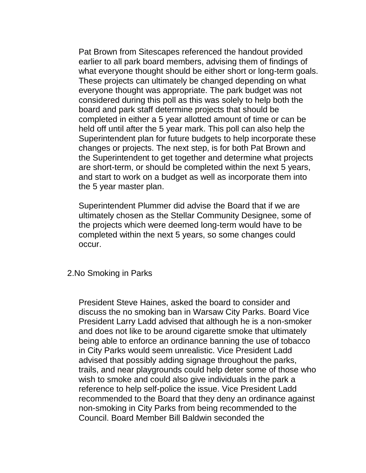Pat Brown from Sitescapes referenced the handout provided earlier to all park board members, advising them of findings of what everyone thought should be either short or long-term goals. These projects can ultimately be changed depending on what everyone thought was appropriate. The park budget was not considered during this poll as this was solely to help both the board and park staff determine projects that should be completed in either a 5 year allotted amount of time or can be held off until after the 5 year mark. This poll can also help the Superintendent plan for future budgets to help incorporate these changes or projects. The next step, is for both Pat Brown and the Superintendent to get together and determine what projects are short-term, or should be completed within the next 5 years, and start to work on a budget as well as incorporate them into the 5 year master plan.

Superintendent Plummer did advise the Board that if we are ultimately chosen as the Stellar Community Designee, some of the projects which were deemed long-term would have to be completed within the next 5 years, so some changes could occur.

#### 2.No Smoking in Parks

President Steve Haines, asked the board to consider and discuss the no smoking ban in Warsaw City Parks. Board Vice President Larry Ladd advised that although he is a non-smoker and does not like to be around cigarette smoke that ultimately being able to enforce an ordinance banning the use of tobacco in City Parks would seem unrealistic. Vice President Ladd advised that possibly adding signage throughout the parks, trails, and near playgrounds could help deter some of those who wish to smoke and could also give individuals in the park a reference to help self-police the issue. Vice President Ladd recommended to the Board that they deny an ordinance against non-smoking in City Parks from being recommended to the Council. Board Member Bill Baldwin seconded the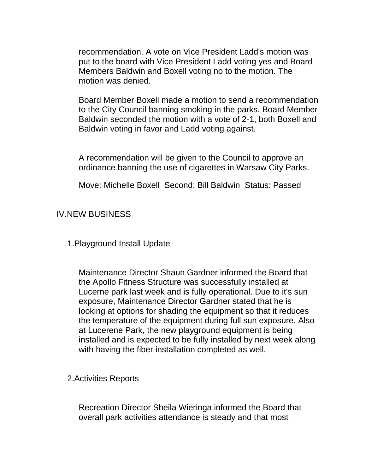recommendation. A vote on Vice President Ladd's motion was put to the board with Vice President Ladd voting yes and Board Members Baldwin and Boxell voting no to the motion. The motion was denied.

Board Member Boxell made a motion to send a recommendation to the City Council banning smoking in the parks. Board Member Baldwin seconded the motion with a vote of 2-1, both Boxell and Baldwin voting in favor and Ladd voting against.

A recommendation will be given to the Council to approve an ordinance banning the use of cigarettes in Warsaw City Parks.

Move: Michelle Boxell Second: Bill Baldwin Status: Passed

### IV.NEW BUSINESS

1.Playground Install Update

Maintenance Director Shaun Gardner informed the Board that the Apollo Fitness Structure was successfully installed at Lucerne park last week and is fully operational. Due to it's sun exposure, Maintenance Director Gardner stated that he is looking at options for shading the equipment so that it reduces the temperature of the equipment during full sun exposure. Also at Lucerene Park, the new playground equipment is being installed and is expected to be fully installed by next week along with having the fiber installation completed as well.

2.Activities Reports

Recreation Director Sheila Wieringa informed the Board that overall park activities attendance is steady and that most